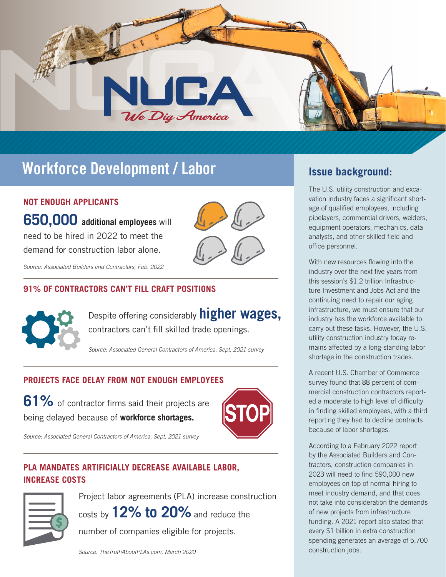

# **Workforce Development / Labor Issue background:**

### **NOT ENOUGH APPLICANTS**

**650,000 additional employees** will need to be hired in 2022 to meet the demand for construction labor alone.

*Source: Associated Builders and Contractors, Feb. 2022*

### **91% OF CONTRACTORS CAN'T FILL CRAFT POSITIONS**



Despite offering considerably **higher wages,** contractors can't fill skilled trade openings.

*Source: Associated General Contractors of America, Sept. 2021 survey*

### **PROJECTS FACE DELAY FROM NOT ENOUGH EMPLOYEES**

**61%** of contractor firms said their projects are being delayed because of **workforce shortages.**



*Source: Associated General Contractors of America, Sept. 2021 survey*

### **PLA MANDATES ARTIFICIALLY DECREASE AVAILABLE LABOR, INCREASE COSTS**



Project labor agreements (PLA) increase construction costs by **12% to 20%** and reduce the

number of companies eligible for projects.

The U.S. utility construction and excavation industry faces a significant shortage of qualified employees, including pipelayers, commercial drivers, welders, equipment operators, mechanics, data analysts, and other skilled field and office personnel.

With new resources flowing into the industry over the next five years from this session's \$1.2 trillion Infrastructure Investment and Jobs Act and the continuing need to repair our aging infrastructure, we must ensure that our industry has the workforce available to carry out these tasks. However, the U.S. utility construction industry today remains affected by a long-standing labor shortage in the construction trades.

A recent U.S. Chamber of Commerce survey found that 88 percent of commercial construction contractors reported a moderate to high level of difficulty in finding skilled employees, with a third reporting they had to decline contracts because of labor shortages.

According to a February 2022 report by the Associated Builders and Contractors, construction companies in 2023 will need to find 590,000 new employees on top of normal hiring to meet industry demand, and that does not take into consideration the demands of new projects from infrastructure funding. A 2021 report also stated that every \$1 billion in extra construction spending generates an average of 5,700 construction jobs.